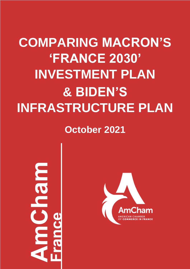# **COMPARING MACRON'S 'FRANCE 2030' INVESTMENT PLAN & BIDEN'S INFRASTRUCTURE PLAN**

**October 2021**

JE PL

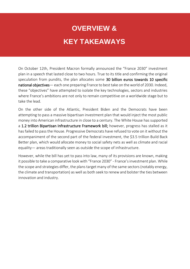# **OVERVIEW & KEY TAKEAWAYS**

On October 12th, President Macron formally announced the "France 2030" investment plan in a speech that lasted close to two hours. True to its title and confirming the original speculation from pundits, the plan allocates some 30 billion euros towards 10 specific national objectives— each one preparing France to best take on the world of 2030. Indeed, these "objectives" have attempted to isolate the key technologies, sectors and industries where France's ambitions are not only to remain competitive on a worldwide stage but to take the lead.

On the other side of the Atlantic, President Biden and the Democrats have been attempting to pass a massive bipartisan investment plan that would inject the most public money into American infrastructure in close to a century. The White House has supported a 1.2 trillion Bipartisan Infrastructure Framework bill; however, progress has stalled as it has failed to pass the House. Progressive Democrats have refused to vote on it without the accompaniment of the second part of the federal investment, the \$3.5 trillion Build Back Better plan, which would allocate money to social safety nets as well as climate and racial equality— areas traditionally seen as outside the scope of infrastructure.

However, while the bill has yet to pass into law, many of its provisions are known, making it possible to take a comparative look with "France 2030" - France's investment plan. While the scope and strategies differ, the plans target many of the same sectors (notably energy, the climate and transportation) as well as both seek to renew and bolster the ties between innovation and industry.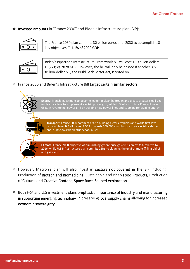❖ Invested amounts in "France 2030" and Biden's Infrastructure plan (BIP):



The France 2030 plan commits 30 billion euros until 2030 to accomplish 10 key objectives  $\Box$  1.1% of 2020 GDP



Biden's Bipartisan Infrastructure Framework bill will cost 1.2 trillion dollars □ 5.7% of 2020 GDP. However, the bill will only be passed if another 3,5 trillion-dollar bill, the Build Back Better Act, is voted on

❖ France 2030 and Biden's Infrastructure Bill target certain similar sectors:



- ❖ However, Macron's plan will also invest in sectors not covered in the BIF including: Production of Biotech and Biomedicine, Sustainable and clean Food Products, Production of Cultural and Creative Content, Space Race, Seabed exploration.
- ❖ Both FRA and U.S investment plans emphasize importance of industry and manufacturing in supporting emerging technology  $\rightarrow$  preserving local supply chains allowing for increased economic sovereignty.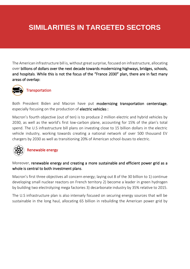# **SIMILARITIES IN TARGETED SECTORS**

The American infrastructure bill is, without great surprise, focused on infrastructure, allocating over billions of dollars over the next decade towards modernizing highways, bridges, schools, and hospitals. While this is not the focus of the "France 2030" plan, there are in fact many areas of overlap:



**Transportation** 

Both President Biden and Macron have put modernizing transportation centerstage, especially focusing on the production of electric vehicles :

Macron's fourth objective (out of ten) is to produce 2 million electric and hybrid vehicles by 2030, as well as the world's first low-carbon plane, accounting for 15% of the plan's total spend. The U.S infrastructure bill plans on investing close to 15 billion dollars in the electric vehicle industry, working towards creating a national network of over 500 thousand EV chargers by 2030 as well as transitioning 20% of American school-buses to electric.



### Renewable energy

Moreover, renewable energy and creating a more sustainable and efficient power grid as a whole is central to both investment plans.

Macron's first three objectives all concern energy; laying out 8 of the 30 billion to 1) continue developing small nuclear reactors on French territory 2) become a leader in green hydrogen by building two electrolyzing mega factories 3) decarbonate industry by 35% relative to 2015.

The U.S infrastructure plan is also intensely focused on securing energy sources that will be sustainable in the long haul, allocating 65 billion in rebuilding the American power grid by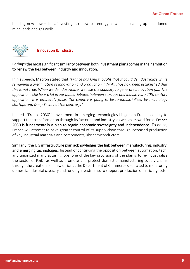building new power lines, investing in renewable energy as well as cleaning up abandoned mine lands and gas wells.



### Perhaps the most significant similarity between both investment plans comes in their ambition to renew the ties between industry and innovation.

In his speech, Macron stated that *"France has long thought that it could deindustrialize while remaining a great nation of innovation and production. I think it has now been established that this is not true. When we deindustrialize, we lose the capacity to generate innovation (…). The opposition I still hear a lot in our public debates between startups and industry is a 20th century opposition. It is eminently false. Our country is going to be re-industrialized by technology startups and Deep Tech, not the contrary."*

Indeed, "France 2030"'s investment in emerging technologies hinges on France's ability to support that transformation through its factories and industry, as well as its workforce. France 2030 is fundamentally a plan to regain economic sovereignty and independence. To do so, France will attempt to have greater control of its supply chain through increased production of key industrial materials and components, like semiconductors.

Similarly, the U.S infrastructure plan acknowledges the link between manufacturing, industry, and emerging technologies. Instead of continuing the opposition between automation, tech, and unionized manufacturing jobs, one of the key provisions of the plan is to re-industrialize the sector of R&D, as well as promote and protect domestic manufacturing supply chains through the creation of a new office at the Department of Commerce dedicated to monitoring domestic industrial capacity and funding investments to support production of critical goods.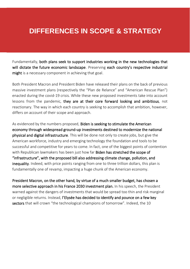## **DIFFERENCES IN SCOPE & STRATEGY**

Fundamentally, both plans seek to support industries working in the new technologies that will dictate the future economic landscape. Preserving each country's respective industrial might is a necessary component in achieving that goal.

Both President Macron and President Biden have released their plans on the back of previous massive investment plans (respectively the "Plan de Relance" and "American Rescue Plan") enacted during the covid-19 crisis. While these new proposed investments take into account lessons from the pandemic, they are at their core forward looking and ambitious, not reactionary. The way in which each country is seeking to accomplish that ambition, however, differs on account of their scope and approach.

As evidenced by the numbers proposed, Biden is seeking to stimulate the American economy through widespread ground-up investments destined to modernize the national physical and digital infrastructure. This will be done not only to create jobs, but give the American workforce, industry and emerging technology the foundation and tools to be successful and competitive for years to come. In fact, one of the biggest points of contention with Republican lawmakers has been just how far **Biden has stretched the scope of** "infrastructure", with the proposed bill also addressing climate change, pollution, and inequality. Indeed, with price points ranging from one to three trillion dollars, this plan is fundamentally one of revamp, impacting a huge chunk of the American economy.

President Macron, on the other hand, by virtue of a much smaller budget, has chosen a more selective approach in his France 2030 investment plan. In his speech, the President warned against the dangers of investments that would be spread too thin and risk marginal or negligible returns. Instead, l'Elysée has decided to identify and pounce on a few key sectors that will crown "the technological champions of tomorrow". Indeed, the 10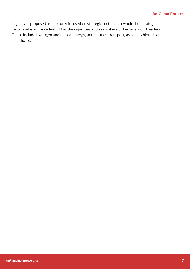objectives proposed are not only focused on strategic sectors as a whole, but strategic sectors where France feels it has the capacities and savoir-faire to become world leaders. These include hydrogen and nuclear energy, aeronautics, transport, as well as biotech and healthcare.